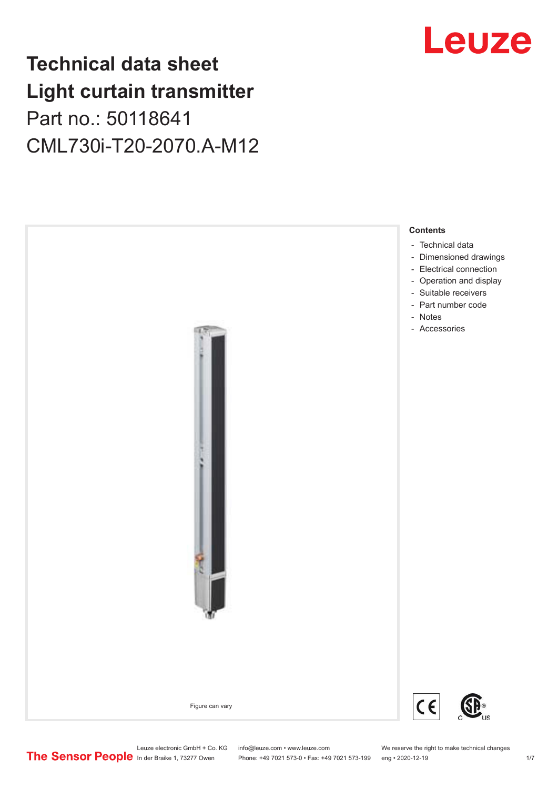## **Technical data sheet Light curtain transmitter** Part no.: 50118641 CML730i-T20-2070.A-M12





Phone: +49 7021 573-0 • Fax: +49 7021 573-199 eng • 2020-12-19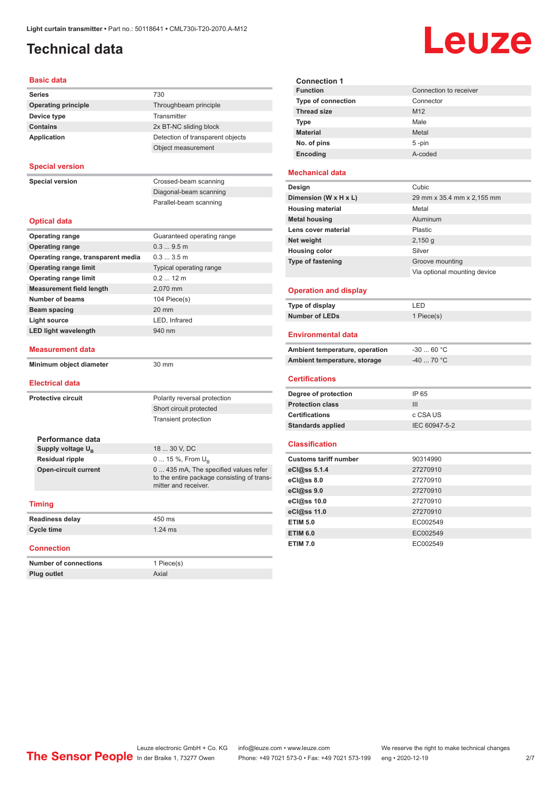## <span id="page-1-0"></span>**Technical data**

# Leuze

| <b>Basic data</b>                  |                                                                                                             |
|------------------------------------|-------------------------------------------------------------------------------------------------------------|
| <b>Series</b>                      | 730                                                                                                         |
| <b>Operating principle</b>         | Throughbeam principle                                                                                       |
| Device type                        | Transmitter                                                                                                 |
| <b>Contains</b>                    | 2x BT-NC sliding block                                                                                      |
| <b>Application</b>                 | Detection of transparent objects                                                                            |
|                                    | Object measurement                                                                                          |
| <b>Special version</b>             |                                                                                                             |
| <b>Special version</b>             | Crossed-beam scanning                                                                                       |
|                                    | Diagonal-beam scanning                                                                                      |
|                                    | Parallel-beam scanning                                                                                      |
| <b>Optical data</b>                |                                                                                                             |
| <b>Operating range</b>             | Guaranteed operating range                                                                                  |
| <b>Operating range</b>             | 0.39.5m                                                                                                     |
| Operating range, transparent media | 0.33.5m                                                                                                     |
| <b>Operating range limit</b>       | Typical operating range                                                                                     |
| <b>Operating range limit</b>       | $0.212$ m                                                                                                   |
| <b>Measurement field length</b>    | 2,070 mm                                                                                                    |
| <b>Number of beams</b>             | 104 Piece(s)                                                                                                |
| <b>Beam spacing</b>                | 20 mm                                                                                                       |
| <b>Light source</b>                | LED, Infrared                                                                                               |
| <b>LED light wavelength</b>        | 940 nm                                                                                                      |
| <b>Measurement data</b>            |                                                                                                             |
| Minimum object diameter            | 30 mm                                                                                                       |
| <b>Electrical data</b>             |                                                                                                             |
| <b>Protective circuit</b>          | Polarity reversal protection                                                                                |
|                                    | Short circuit protected                                                                                     |
|                                    | Transient protection                                                                                        |
|                                    |                                                                                                             |
| Performance data                   |                                                                                                             |
| Supply voltage U <sub>p</sub>      | 18  30 V, DC                                                                                                |
| <b>Residual ripple</b>             | 0  15 %, From $U_{\rm B}$                                                                                   |
| <b>Open-circuit current</b>        | 0  435 mA, The specified values refer<br>to the entire package consisting of trans-<br>mitter and receiver. |
| <b>Timing</b>                      |                                                                                                             |
| <b>Readiness delay</b>             | 450 ms                                                                                                      |
| <b>Cycle time</b>                  | $1.24$ ms                                                                                                   |
| <b>Connection</b>                  |                                                                                                             |
| <b>Number of connections</b>       | 1 Piece(s)                                                                                                  |
| Plug outlet                        | Axial                                                                                                       |

| <b>Connection 1</b>       |                        |
|---------------------------|------------------------|
| <b>Function</b>           | Connection to receiver |
| <b>Type of connection</b> | Connector              |
| <b>Thread size</b>        | M <sub>12</sub>        |
| Type                      | Male                   |
| <b>Material</b>           | Metal                  |
| No. of pins               | $5 - pin$              |
| Encoding                  | A-coded                |
|                           |                        |

#### **Mechanical data**

| Design                   | Cubic                        |
|--------------------------|------------------------------|
| Dimension (W x H x L)    | 29 mm x 35.4 mm x 2,155 mm   |
| <b>Housing material</b>  | Metal                        |
| <b>Metal housing</b>     | Aluminum                     |
| Lens cover material      | <b>Plastic</b>               |
| Net weight               | $2,150$ g                    |
| <b>Housing color</b>     | Silver                       |
| <b>Type of fastening</b> | Groove mounting              |
|                          | Via optional mounting device |
|                          |                              |

#### **Operation and display**

| Type of display | ' FD.      |
|-----------------|------------|
| Number of LEDs  | 1 Piece(s) |

#### **Environmental data**

| Ambient temperature, operation | -30  60 °C                       |
|--------------------------------|----------------------------------|
| Ambient temperature, storage   | $-40$ 70 $^{\circ}$ C $^{\circ}$ |

#### **Certifications**

| Degree of protection     | IP 65         |
|--------------------------|---------------|
| <b>Protection class</b>  | Ш             |
| <b>Certifications</b>    | c CSA US      |
| <b>Standards applied</b> | IEC 60947-5-2 |

#### **Classification**

| <b>Customs tariff number</b> | 90314990 |
|------------------------------|----------|
| eCl@ss 5.1.4                 | 27270910 |
| eC <sub>1</sub> @ss 8.0      | 27270910 |
| eCl@ss 9.0                   | 27270910 |
| eCl@ss 10.0                  | 27270910 |
| eCl@ss 11.0                  | 27270910 |
| <b>ETIM 5.0</b>              | EC002549 |
| <b>ETIM 6.0</b>              | EC002549 |
| <b>ETIM 7.0</b>              | EC002549 |

Leuze electronic GmbH + Co. KG info@leuze.com • www.leuze.com We reserve the right to make technical changes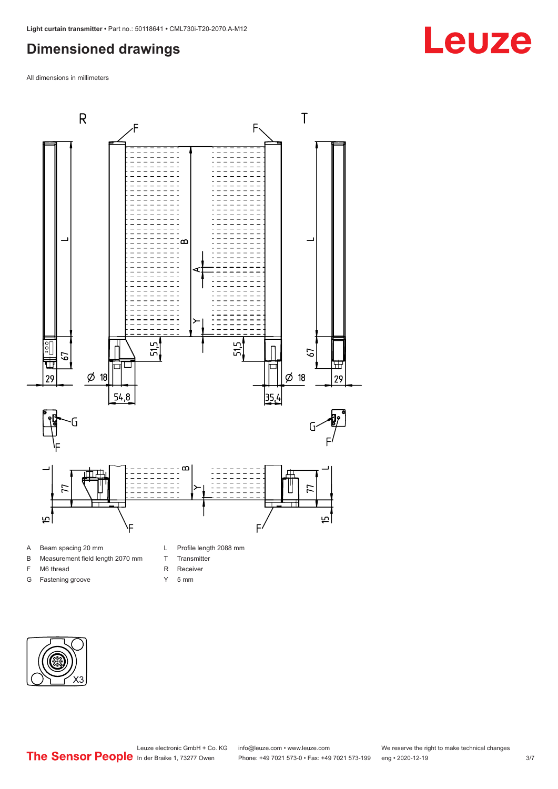## <span id="page-2-0"></span>**Dimensioned drawings**

All dimensions in millimeters



#### A Beam spacing 20 mm

- B Measurement field length 2070 mm
- F M6 thread
- G Fastening groove
- L Profile length 2088 mm
- T Transmitter
- R Receiver
- Y 5 mm



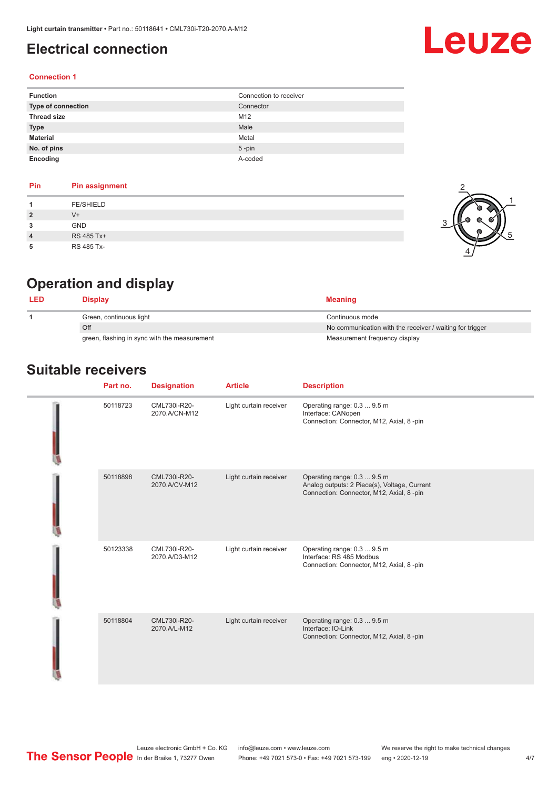### <span id="page-3-0"></span>**Electrical connection**

# Leuze

#### **Connection 1**

| <b>Function</b>    | Connection to receiver |
|--------------------|------------------------|
| Type of connection | Connector              |
| <b>Thread size</b> | M12                    |
| <b>Type</b>        | Male                   |
| <b>Material</b>    | Metal                  |
| No. of pins        | $5$ -pin               |
| Encoding           | A-coded                |

#### **Pin Pin assignment 1** FE/SHIELD **2** V+ **3** GND **4** RS 485 Tx+ **5** RS 485 Tx-



## **Operation and display**

| Display                                      | <b>Meaning</b>                                           |
|----------------------------------------------|----------------------------------------------------------|
| Green, continuous light                      | Continuous mode                                          |
| Off                                          | No communication with the receiver / waiting for trigger |
| green, flashing in sync with the measurement | Measurement frequency display                            |

### **Suitable receivers**

| Part no. | <b>Designation</b>            | <b>Article</b>         | <b>Description</b>                                                                                                       |
|----------|-------------------------------|------------------------|--------------------------------------------------------------------------------------------------------------------------|
| 50118723 | CML730i-R20-<br>2070.A/CN-M12 | Light curtain receiver | Operating range: 0.3  9.5 m<br>Interface: CANopen<br>Connection: Connector, M12, Axial, 8 -pin                           |
| 50118898 | CML730i-R20-<br>2070.A/CV-M12 | Light curtain receiver | Operating range: 0.3  9.5 m<br>Analog outputs: 2 Piece(s), Voltage, Current<br>Connection: Connector, M12, Axial, 8 -pin |
| 50123338 | CML730i-R20-<br>2070.A/D3-M12 | Light curtain receiver | Operating range: 0.3  9.5 m<br>Interface: RS 485 Modbus<br>Connection: Connector, M12, Axial, 8 -pin                     |
| 50118804 | CML730i-R20-<br>2070.A/L-M12  | Light curtain receiver | Operating range: 0.3  9.5 m<br>Interface: IO-Link<br>Connection: Connector, M12, Axial, 8 -pin                           |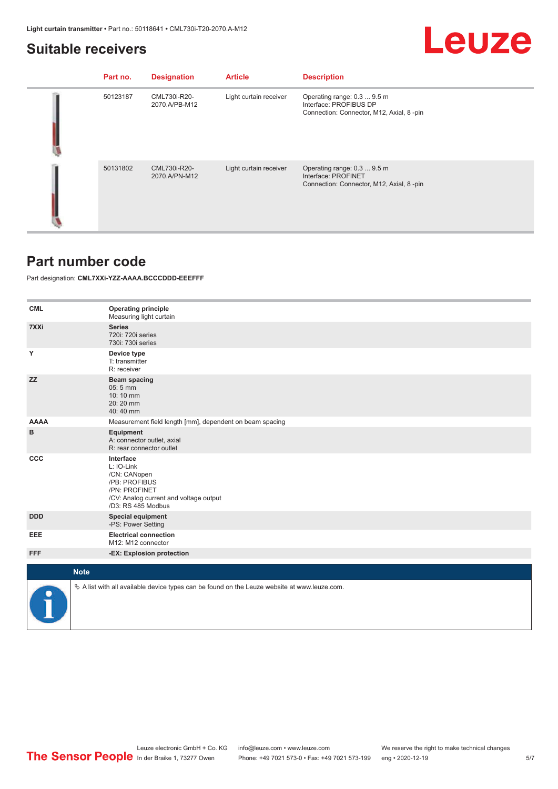#### <span id="page-4-0"></span>**Suitable receivers**

## Leuze

| Part no. | <b>Designation</b>            | <b>Article</b>         | <b>Description</b>                                                                                |
|----------|-------------------------------|------------------------|---------------------------------------------------------------------------------------------------|
| 50123187 | CML730i-R20-<br>2070.A/PB-M12 | Light curtain receiver | Operating range: 0.3  9.5 m<br>Interface: PROFIBUS DP<br>Connection: Connector, M12, Axial, 8-pin |
| 50131802 | CML730i-R20-<br>2070.A/PN-M12 | Light curtain receiver | Operating range: 0.3  9.5 m<br>Interface: PROFINET<br>Connection: Connector, M12, Axial, 8-pin    |

#### **Part number code**

Part designation: **CML7XXi-YZZ-AAAA.BCCCDDD-EEEFFF**

| <b>CML</b>  | <b>Operating principle</b><br>Measuring light curtain                                                                                     |
|-------------|-------------------------------------------------------------------------------------------------------------------------------------------|
| 7XXi        | <b>Series</b><br>720i: 720i series<br>730i: 730i series                                                                                   |
| Y           | Device type<br>T: transmitter<br>R: receiver                                                                                              |
| <b>ZZ</b>   | <b>Beam spacing</b><br>$05:5$ mm<br>10:10 mm<br>20:20 mm<br>40:40 mm                                                                      |
| <b>AAAA</b> | Measurement field length [mm], dependent on beam spacing                                                                                  |
| B           | Equipment<br>A: connector outlet, axial<br>R: rear connector outlet                                                                       |
| <b>CCC</b>  | Interface<br>L: IO-Link<br>/CN: CANopen<br>/PB: PROFIBUS<br>/PN: PROFINET<br>/CV: Analog current and voltage output<br>/D3: RS 485 Modbus |
| <b>DDD</b>  | <b>Special equipment</b><br>-PS: Power Setting                                                                                            |
| EEE         | <b>Electrical connection</b><br>M12: M12 connector                                                                                        |
| <b>FFF</b>  | -EX: Explosion protection                                                                                                                 |
|             |                                                                                                                                           |
| <b>Note</b> |                                                                                                                                           |
|             | $\&$ A list with all available device types can be found on the Leuze website at www.leuze.com.                                           |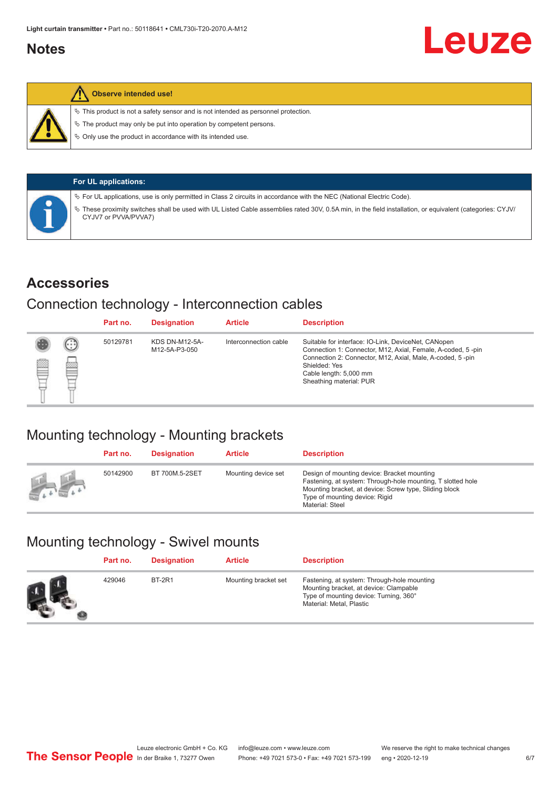### <span id="page-5-0"></span>**Notes**



#### **Observe intended use!**

 $\%$  This product is not a safety sensor and is not intended as personnel protection.

 $\%$  The product may only be put into operation by competent persons.

 $\%$  Only use the product in accordance with its intended use.

|  | <b>For UL applications:</b>                                                                                                                                                     |
|--|---------------------------------------------------------------------------------------------------------------------------------------------------------------------------------|
|  | $\%$ For UL applications, use is only permitted in Class 2 circuits in accordance with the NEC (National Electric Code).                                                        |
|  | These proximity switches shall be used with UL Listed Cable assemblies rated 30V, 0.5A min, in the field installation, or equivalent (categories: CYJV/<br>CYJV7 or PVVA/PVVA7) |

#### **Accessories**

#### Connection technology - Interconnection cables

|   |              | Part no. | <b>Designation</b>                     | <b>Article</b>        | <b>Description</b>                                                                                                                                                                                                                                    |
|---|--------------|----------|----------------------------------------|-----------------------|-------------------------------------------------------------------------------------------------------------------------------------------------------------------------------------------------------------------------------------------------------|
| Ø | $\odot$<br>p | 50129781 | <b>KDS DN-M12-5A-</b><br>M12-5A-P3-050 | Interconnection cable | Suitable for interface: IO-Link, DeviceNet, CANopen<br>Connection 1: Connector, M12, Axial, Female, A-coded, 5-pin<br>Connection 2: Connector, M12, Axial, Male, A-coded, 5-pin<br>Shielded: Yes<br>Cable length: 5,000 mm<br>Sheathing material: PUR |

## Mounting technology - Mounting brackets

|               | Part no. | <b>Designation</b> | <b>Article</b>      | <b>Description</b>                                                                                                                                                                                                        |
|---------------|----------|--------------------|---------------------|---------------------------------------------------------------------------------------------------------------------------------------------------------------------------------------------------------------------------|
| <b>Altres</b> | 50142900 | BT 700M.5-2SET     | Mounting device set | Design of mounting device: Bracket mounting<br>Fastening, at system: Through-hole mounting, T slotted hole<br>Mounting bracket, at device: Screw type, Sliding block<br>Type of mounting device: Rigid<br>Material: Steel |

## Mounting technology - Swivel mounts

| Part no. | <b>Designation</b> | <b>Article</b>       | <b>Description</b>                                                                                                                                          |
|----------|--------------------|----------------------|-------------------------------------------------------------------------------------------------------------------------------------------------------------|
| 429046   | <b>BT-2R1</b>      | Mounting bracket set | Fastening, at system: Through-hole mounting<br>Mounting bracket, at device: Clampable<br>Type of mounting device: Turning, 360°<br>Material: Metal, Plastic |

Leuze